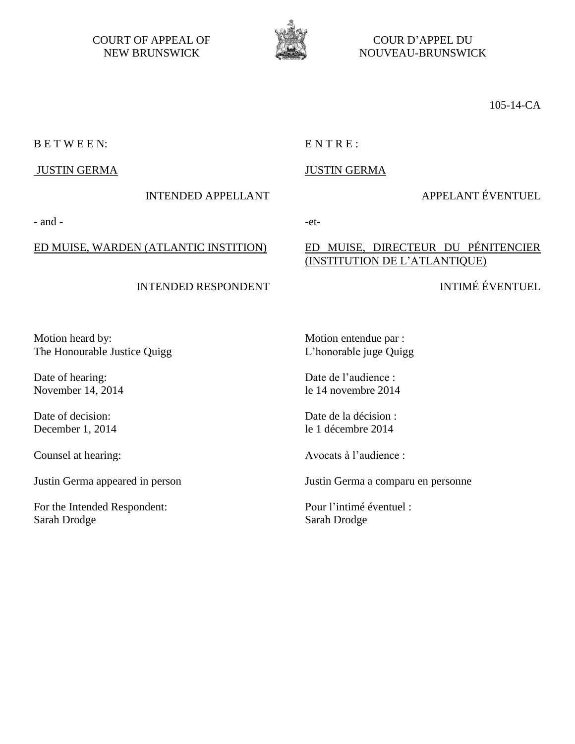COURT OF APPEAL OF NEW BRUNSWICK



COUR D'APPEL DU NOUVEAU-BRUNSWICK

ED MUISE, DIRECTEUR DU PÉNITENCIER

(INSTITUTION DE L'ATLANTIQUE)

105-14-CA

B E T W E E N: E N T R E :

### JUSTIN GERMA

### INTENDED APPELLANT

# APPELANT ÉVENTUEL

INTIMÉ ÉVENTUEL

JUSTIN GERMA

## ED MUISE, WARDEN (ATLANTIC INSTITION)

## INTENDED RESPONDENT

Motion entendue par : L'honorable juge Quigg

Date de l'audience : le 14 novembre 2014

Date de la décision : le 1 décembre 2014

Avocats à l'audience :

Justin Germa a comparu en personne

Pour l'intimé éventuel : Sarah Drodge

Motion heard by: The Honourable Justice Quigg

Date of hearing: November 14, 2014

Date of decision: December 1, 2014

Counsel at hearing:

Justin Germa appeared in person

For the Intended Respondent: Sarah Drodge

# $-$  and  $-$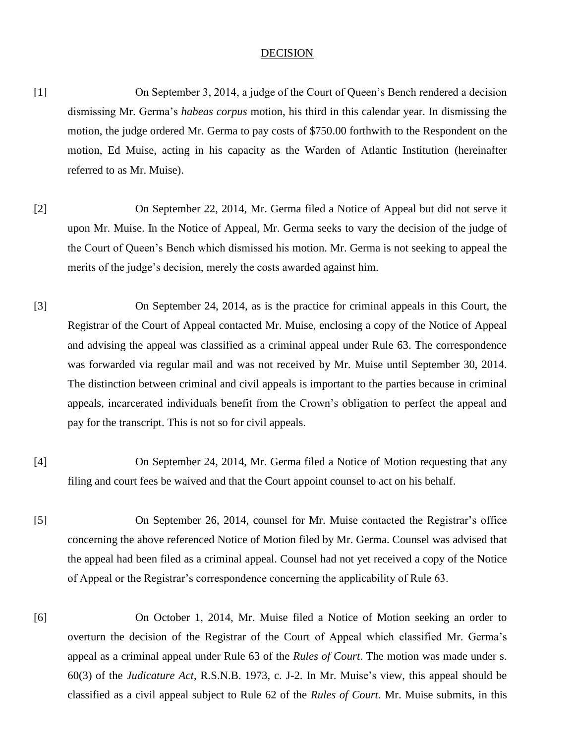#### **DECISION**

- [1] On September 3, 2014, a judge of the Court of Queen's Bench rendered a decision dismissing Mr. Germa's *habeas corpus* motion, his third in this calendar year. In dismissing the motion, the judge ordered Mr. Germa to pay costs of \$750.00 forthwith to the Respondent on the motion, Ed Muise, acting in his capacity as the Warden of Atlantic Institution (hereinafter referred to as Mr. Muise).
- [2] On September 22, 2014, Mr. Germa filed a Notice of Appeal but did not serve it upon Mr. Muise. In the Notice of Appeal, Mr. Germa seeks to vary the decision of the judge of the Court of Queen's Bench which dismissed his motion. Mr. Germa is not seeking to appeal the merits of the judge's decision, merely the costs awarded against him.
- [3] On September 24, 2014, as is the practice for criminal appeals in this Court, the Registrar of the Court of Appeal contacted Mr. Muise, enclosing a copy of the Notice of Appeal and advising the appeal was classified as a criminal appeal under Rule 63. The correspondence was forwarded via regular mail and was not received by Mr. Muise until September 30, 2014. The distinction between criminal and civil appeals is important to the parties because in criminal appeals, incarcerated individuals benefit from the Crown's obligation to perfect the appeal and pay for the transcript. This is not so for civil appeals.
- [4] On September 24, 2014, Mr. Germa filed a Notice of Motion requesting that any filing and court fees be waived and that the Court appoint counsel to act on his behalf.
- [5] On September 26, 2014, counsel for Mr. Muise contacted the Registrar's office concerning the above referenced Notice of Motion filed by Mr. Germa. Counsel was advised that the appeal had been filed as a criminal appeal. Counsel had not yet received a copy of the Notice of Appeal or the Registrar's correspondence concerning the applicability of Rule 63.
- [6] On October 1, 2014, Mr. Muise filed a Notice of Motion seeking an order to overturn the decision of the Registrar of the Court of Appeal which classified Mr. Germa's appeal as a criminal appeal under Rule 63 of the *Rules of Court*. The motion was made under s. 60(3) of the *Judicature Act*, R.S.N.B. 1973, c. J-2. In Mr. Muise's view, this appeal should be classified as a civil appeal subject to Rule 62 of the *Rules of Court*. Mr. Muise submits, in this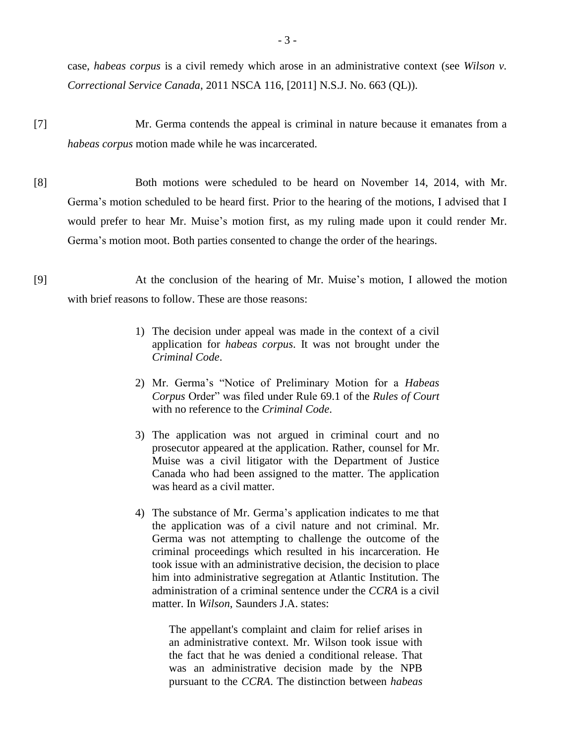case, *habeas corpus* is a civil remedy which arose in an administrative context (see *Wilson v. Correctional Service Canada*, 2011 NSCA 116, [2011] N.S.J. No. 663 (QL)).

- [7] Mr. Germa contends the appeal is criminal in nature because it emanates from a *habeas corpus* motion made while he was incarcerated.
- [8] Both motions were scheduled to be heard on November 14, 2014, with Mr. Germa's motion scheduled to be heard first. Prior to the hearing of the motions, I advised that I would prefer to hear Mr. Muise's motion first, as my ruling made upon it could render Mr. Germa's motion moot. Both parties consented to change the order of the hearings.
- [9] At the conclusion of the hearing of Mr. Muise's motion, I allowed the motion with brief reasons to follow. These are those reasons:
	- 1) The decision under appeal was made in the context of a civil application for *habeas corpus*. It was not brought under the *Criminal Code*.
	- 2) Mr. Germa's "Notice of Preliminary Motion for a *Habeas Corpus* Order" was filed under Rule 69.1 of the *Rules of Court* with no reference to the *Criminal Code*.
	- 3) The application was not argued in criminal court and no prosecutor appeared at the application. Rather, counsel for Mr. Muise was a civil litigator with the Department of Justice Canada who had been assigned to the matter. The application was heard as a civil matter.
	- 4) The substance of Mr. Germa's application indicates to me that the application was of a civil nature and not criminal. Mr. Germa was not attempting to challenge the outcome of the criminal proceedings which resulted in his incarceration. He took issue with an administrative decision, the decision to place him into administrative segregation at Atlantic Institution. The administration of a criminal sentence under the *CCRA* is a civil matter. In *Wilson*, Saunders J.A. states:

The appellant's complaint and claim for relief arises in an administrative context. Mr. Wilson took issue with the fact that he was denied a conditional release. That was an administrative decision made by the NPB pursuant to the *CCRA*. The distinction between *habeas*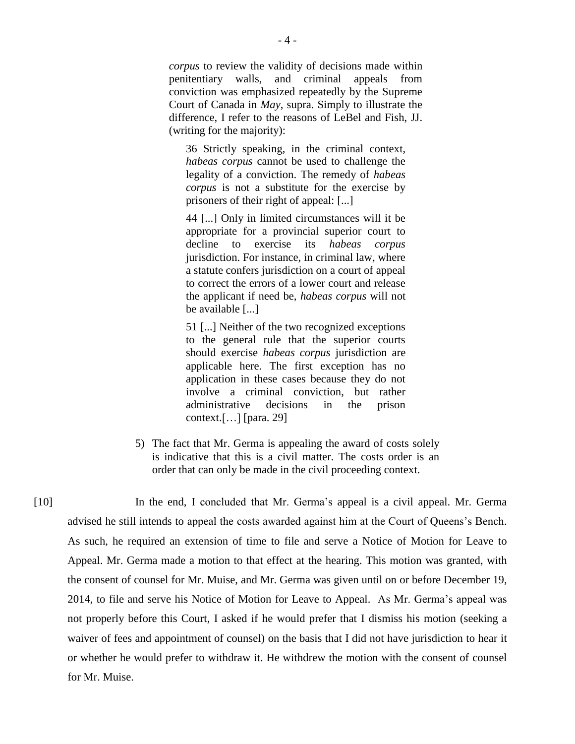*corpus* to review the validity of decisions made within penitentiary walls, and criminal appeals from conviction was emphasized repeatedly by the Supreme Court of Canada in *May*, supra. Simply to illustrate the difference, I refer to the reasons of LeBel and Fish, JJ. (writing for the majority):

36 Strictly speaking, in the criminal context, *habeas corpus* cannot be used to challenge the legality of a conviction. The remedy of *habeas corpus* is not a substitute for the exercise by prisoners of their right of appeal: [...]

44 [...] Only in limited circumstances will it be appropriate for a provincial superior court to decline to exercise its *habeas corpus* jurisdiction. For instance, in criminal law, where a statute confers jurisdiction on a court of appeal to correct the errors of a lower court and release the applicant if need be, *habeas corpus* will not be available [...]

51 [...] Neither of the two recognized exceptions to the general rule that the superior courts should exercise *habeas corpus* jurisdiction are applicable here. The first exception has no application in these cases because they do not involve a criminal conviction, but rather administrative decisions in the prison context.[…] [para. 29]

5) The fact that Mr. Germa is appealing the award of costs solely is indicative that this is a civil matter. The costs order is an order that can only be made in the civil proceeding context.

[10] In the end, I concluded that Mr. Germa's appeal is a civil appeal. Mr. Germa advised he still intends to appeal the costs awarded against him at the Court of Queens's Bench. As such, he required an extension of time to file and serve a Notice of Motion for Leave to Appeal. Mr. Germa made a motion to that effect at the hearing. This motion was granted, with the consent of counsel for Mr. Muise, and Mr. Germa was given until on or before December 19, 2014, to file and serve his Notice of Motion for Leave to Appeal. As Mr. Germa's appeal was not properly before this Court, I asked if he would prefer that I dismiss his motion (seeking a waiver of fees and appointment of counsel) on the basis that I did not have jurisdiction to hear it or whether he would prefer to withdraw it. He withdrew the motion with the consent of counsel for Mr. Muise.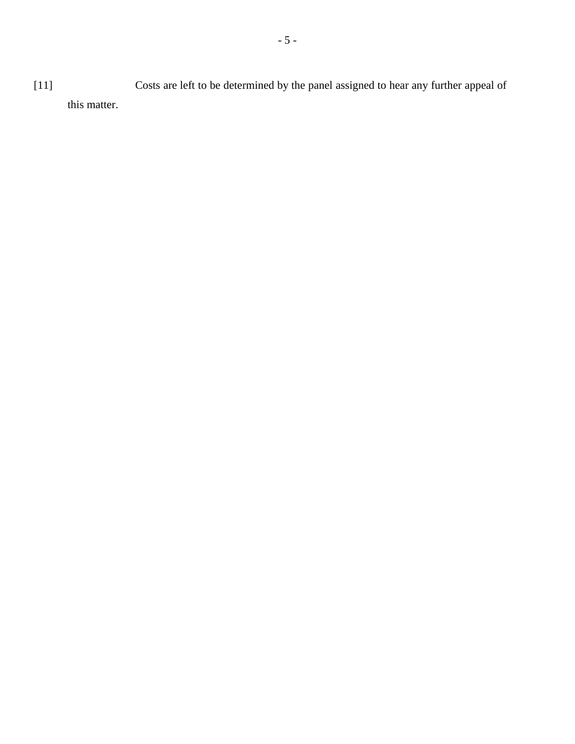[11] Costs are left to be determined by the panel assigned to hear any further appeal of this matter.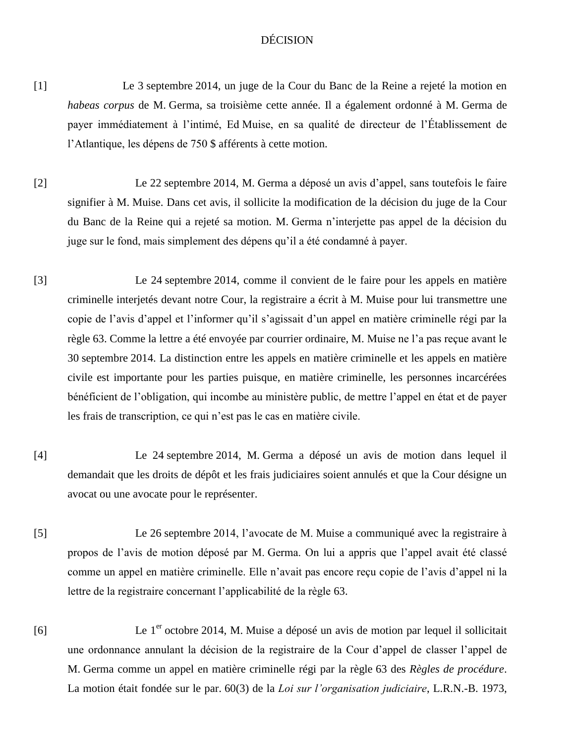## DÉCISION

- [1] Le 3 septembre 2014, un juge de la Cour du Banc de la Reine a rejeté la motion en *habeas corpus* de M. Germa, sa troisième cette année. Il a également ordonné à M. Germa de payer immédiatement à l'intimé, Ed Muise, en sa qualité de directeur de l'Établissement de l'Atlantique, les dépens de 750 \$ afférents à cette motion.
- [2] Le 22 septembre 2014, M. Germa a déposé un avis d'appel, sans toutefois le faire signifier à M. Muise. Dans cet avis, il sollicite la modification de la décision du juge de la Cour du Banc de la Reine qui a rejeté sa motion. M. Germa n'interjette pas appel de la décision du juge sur le fond, mais simplement des dépens qu'il a été condamné à payer.
- [3] Le 24 septembre 2014, comme il convient de le faire pour les appels en matière criminelle interjetés devant notre Cour, la registraire a écrit à M. Muise pour lui transmettre une copie de l'avis d'appel et l'informer qu'il s'agissait d'un appel en matière criminelle régi par la règle 63. Comme la lettre a été envoyée par courrier ordinaire, M. Muise ne l'a pas reçue avant le 30 septembre 2014. La distinction entre les appels en matière criminelle et les appels en matière civile est importante pour les parties puisque, en matière criminelle, les personnes incarcérées bénéficient de l'obligation, qui incombe au ministère public, de mettre l'appel en état et de payer les frais de transcription, ce qui n'est pas le cas en matière civile.
- [4] Le 24 septembre 2014, M. Germa a déposé un avis de motion dans lequel il demandait que les droits de dépôt et les frais judiciaires soient annulés et que la Cour désigne un avocat ou une avocate pour le représenter.
- [5] Le 26 septembre 2014, l'avocate de M. Muise a communiqué avec la registraire à propos de l'avis de motion déposé par M. Germa. On lui a appris que l'appel avait été classé comme un appel en matière criminelle. Elle n'avait pas encore reçu copie de l'avis d'appel ni la lettre de la registraire concernant l'applicabilité de la règle 63.
- [6] Le  $1<sup>er</sup>$  octobre 2014, M. Muise a déposé un avis de motion par lequel il sollicitait une ordonnance annulant la décision de la registraire de la Cour d'appel de classer l'appel de M. Germa comme un appel en matière criminelle régi par la règle 63 des *Règles de procédure*. La motion était fondée sur le par. 60(3) de la *Loi sur l'organisation judiciaire*, L.R.N.-B. 1973,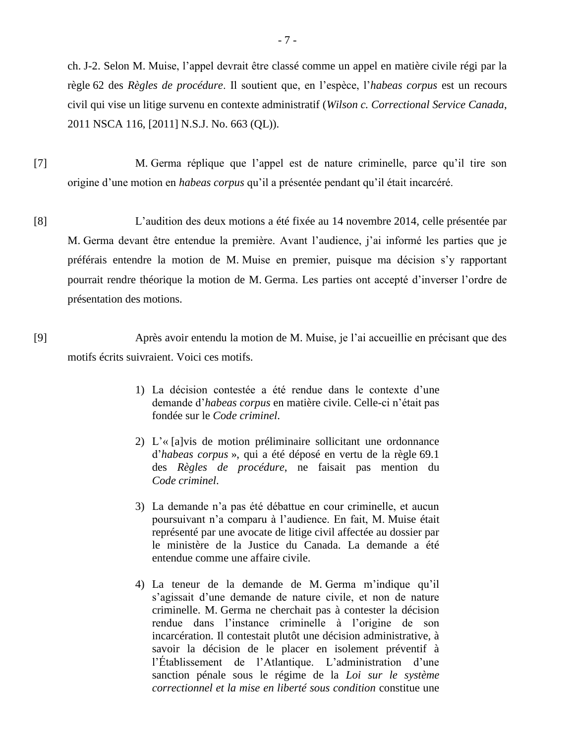ch. J-2. Selon M. Muise, l'appel devrait être classé comme un appel en matière civile régi par la règle 62 des *Règles de procédure*. Il soutient que, en l'espèce, l'*habeas corpus* est un recours civil qui vise un litige survenu en contexte administratif (*Wilson c. Correctional Service Canada*, 2011 NSCA 116, [2011] N.S.J. No. 663 (QL)).

- [7] M. Germa réplique que l'appel est de nature criminelle, parce qu'il tire son origine d'une motion en *habeas corpus* qu'il a présentée pendant qu'il était incarcéré.
- [8] L'audition des deux motions a été fixée au 14 novembre 2014, celle présentée par M. Germa devant être entendue la première. Avant l'audience, j'ai informé les parties que je préférais entendre la motion de M. Muise en premier, puisque ma décision s'y rapportant pourrait rendre théorique la motion de M. Germa. Les parties ont accepté d'inverser l'ordre de présentation des motions.

[9] Après avoir entendu la motion de M. Muise, je l'ai accueillie en précisant que des motifs écrits suivraient. Voici ces motifs.

- 1) La décision contestée a été rendue dans le contexte d'une demande d'*habeas corpus* en matière civile. Celle-ci n'était pas fondée sur le *Code criminel*.
- 2) L'« [a]vis de motion préliminaire sollicitant une ordonnance d'*habeas corpus* », qui a été déposé en vertu de la règle 69.1 des *Règles de procédure*, ne faisait pas mention du *Code criminel*.
- 3) La demande n'a pas été débattue en cour criminelle, et aucun poursuivant n'a comparu à l'audience. En fait, M. Muise était représenté par une avocate de litige civil affectée au dossier par le ministère de la Justice du Canada. La demande a été entendue comme une affaire civile.
- 4) La teneur de la demande de M. Germa m'indique qu'il s'agissait d'une demande de nature civile, et non de nature criminelle. M. Germa ne cherchait pas à contester la décision rendue dans l'instance criminelle à l'origine de son incarcération. Il contestait plutôt une décision administrative, à savoir la décision de le placer en isolement préventif à l'Établissement de l'Atlantique. L'administration d'une sanction pénale sous le régime de la *Loi sur le système correctionnel et la mise en liberté sous condition* constitue une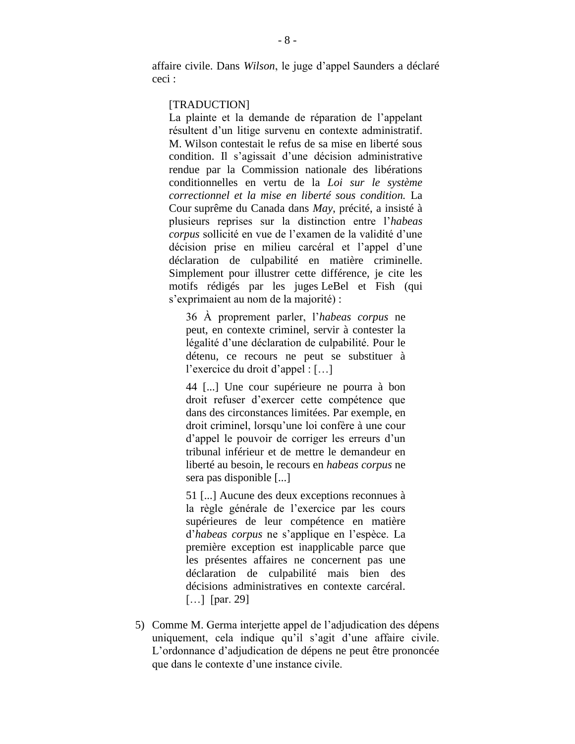affaire civile. Dans *Wilson*, le juge d'appel Saunders a déclaré ceci :

#### [TRADUCTION]

La plainte et la demande de réparation de l'appelant résultent d'un litige survenu en contexte administratif. M. Wilson contestait le refus de sa mise en liberté sous condition. Il s'agissait d'une décision administrative rendue par la Commission nationale des libérations conditionnelles en vertu de la *Loi sur le système correctionnel et la mise en liberté sous condition.* La Cour suprême du Canada dans *May*, précité, a insisté à plusieurs reprises sur la distinction entre l'*habeas corpus* sollicité en vue de l'examen de la validité d'une décision prise en milieu carcéral et l'appel d'une déclaration de culpabilité en matière criminelle. Simplement pour illustrer cette différence, je cite les motifs rédigés par les juges LeBel et Fish (qui s'exprimaient au nom de la majorité) :

36 À proprement parler, l'*habeas corpus* ne peut, en contexte criminel, servir à contester la légalité d'une déclaration de culpabilité. Pour le détenu, ce recours ne peut se substituer à l'exercice du droit d'appel : […]

44 [...] Une cour supérieure ne pourra à bon droit refuser d'exercer cette compétence que dans des circonstances limitées. Par exemple, en droit criminel, lorsqu'une loi confère à une cour d'appel le pouvoir de corriger les erreurs d'un tribunal inférieur et de mettre le demandeur en liberté au besoin, le recours en *habeas corpus* ne sera pas disponible [...]

51 [...] Aucune des deux exceptions reconnues à la règle générale de l'exercice par les cours supérieures de leur compétence en matière d'*habeas corpus* ne s'applique en l'espèce. La première exception est inapplicable parce que les présentes affaires ne concernent pas une déclaration de culpabilité mais bien des décisions administratives en contexte carcéral. [...] [par. 29]

5) Comme M. Germa interjette appel de l'adjudication des dépens uniquement, cela indique qu'il s'agit d'une affaire civile. L'ordonnance d'adjudication de dépens ne peut être prononcée que dans le contexte d'une instance civile.